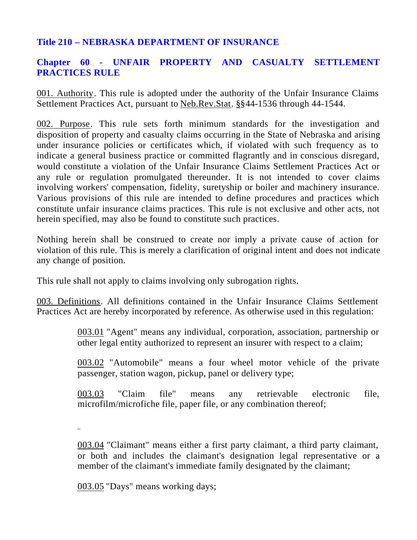# **Title 210 – NEBRASKA DEPARTMENT OF INSURANCE**

# **Chapter 60 - UNFAIR PROPERTY AND CASUALTY SETTLEMENT PRACTICES RULE**

001. Authority. This rule is adopted under the authority of the Unfair Insurance Claims Settlement Practices Act, pursuant to Neb.Rev.Stat. §§44-1536 through 44-1544.

002. Purpose. This rule sets forth minimum standards for the investigation and disposition of property and casualty claims occurring in the State of Nebraska and arising under insurance policies or certificates which, if violated with such frequency as to indicate a general business practice or committed flagrantly and in conscious disregard, would constitute a violation of the Unfair Insurance Claims Settlement Practices Act or any rule or regulation promulgated thereunder. It is not intended to cover claims involving workers' compensation, fidelity, suretyship or boiler and machinery insurance. Various provisions of this rule are intended to define procedures and practices which constitute unfair insurance claims practices. This rule is not exclusive and other acts, not herein specified, may also be found to constitute such practices.

Nothing herein shall be construed to create nor imply a private cause of action for violation of this rule. This is merely a clarification of original intent and does not indicate any change of position.

This rule shall not apply to claims involving only subrogation rights.

003. Definitions. All definitions contained in the Unfair Insurance Claims Settlement Practices Act are hereby incorporated by reference. As otherwise used in this regulation:

> 003.01 "Agent" means any individual, corporation, association, partnership or other legal entity authorized to represent an insurer with respect to a claim;

> 003.02 "Automobile" means a four wheel motor vehicle of the private passenger, station wagon, pickup, panel or delivery type;

> 003.03 "Claim file" means any retrievable electronic file, microfilm/microfiche file, paper file, or any combination thereof;

003.04 "Claimant" means either a first party claimant, a third party claimant, or both and includes the claimant's designation legal representative or a member of the claimant's immediate family designated by the claimant;

003.05 "Days" means working days;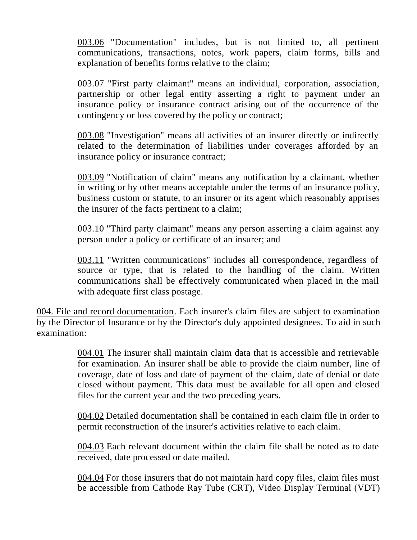003.06 "Documentation" includes, but is not limited to, all pertinent communications, transactions, notes, work papers, claim forms, bills and explanation of benefits forms relative to the claim;

003.07 "First party claimant" means an individual, corporation, association, partnership or other legal entity asserting a right to payment under an insurance policy or insurance contract arising out of the occurrence of the contingency or loss covered by the policy or contract;

003.08 "Investigation" means all activities of an insurer directly or indirectly related to the determination of liabilities under coverages afforded by an insurance policy or insurance contract;

003.09 "Notification of claim" means any notification by a claimant, whether in writing or by other means acceptable under the terms of an insurance policy, business custom or statute, to an insurer or its agent which reasonably apprises the insurer of the facts pertinent to a claim;

003.10 "Third party claimant" means any person asserting a claim against any person under a policy or certificate of an insurer; and

003.11 "Written communications" includes all correspondence, regardless of source or type, that is related to the handling of the claim. Written communications shall be effectively communicated when placed in the mail with adequate first class postage.

004. File and record documentation. Each insurer's claim files are subject to examination by the Director of Insurance or by the Director's duly appointed designees. To aid in such examination:

> 004.01 The insurer shall maintain claim data that is accessible and retrievable for examination. An insurer shall be able to provide the claim number, line of coverage, date of loss and date of payment of the claim, date of denial or date closed without payment. This data must be available for all open and closed files for the current year and the two preceding years.

> 004.02 Detailed documentation shall be contained in each claim file in order to permit reconstruction of the insurer's activities relative to each claim.

> 004.03 Each relevant document within the claim file shall be noted as to date received, date processed or date mailed.

> 004.04 For those insurers that do not maintain hard copy files, claim files must be accessible from Cathode Ray Tube (CRT), Video Display Terminal (VDT)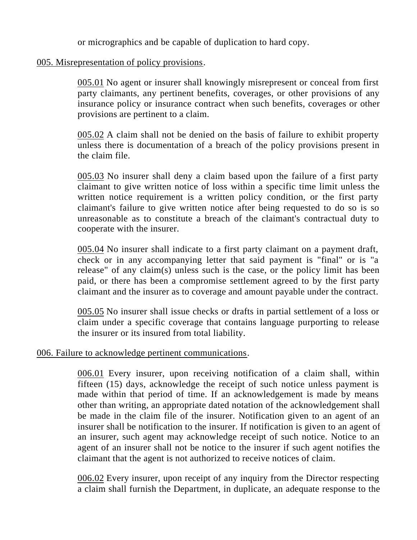or micrographics and be capable of duplication to hard copy.

### 005. Misrepresentation of policy provisions.

005.01 No agent or insurer shall knowingly misrepresent or conceal from first party claimants, any pertinent benefits, coverages, or other provisions of any insurance policy or insurance contract when such benefits, coverages or other provisions are pertinent to a claim.

005.02 A claim shall not be denied on the basis of failure to exhibit property unless there is documentation of a breach of the policy provisions present in the claim file.

005.03 No insurer shall deny a claim based upon the failure of a first party claimant to give written notice of loss within a specific time limit unless the written notice requirement is a written policy condition, or the first party claimant's failure to give written notice after being requested to do so is so unreasonable as to constitute a breach of the claimant's contractual duty to cooperate with the insurer.

005.04 No insurer shall indicate to a first party claimant on a payment draft, check or in any accompanying letter that said payment is "final" or is "a release" of any claim(s) unless such is the case, or the policy limit has been paid, or there has been a compromise settlement agreed to by the first party claimant and the insurer as to coverage and amount payable under the contract.

005.05 No insurer shall issue checks or drafts in partial settlement of a loss or claim under a specific coverage that contains language purporting to release the insurer or its insured from total liability.

#### 006. Failure to acknowledge pertinent communications.

006.01 Every insurer, upon receiving notification of a claim shall, within fifteen (15) days, acknowledge the receipt of such notice unless payment is made within that period of time. If an acknowledgement is made by means other than writing, an appropriate dated notation of the acknowledgement shall be made in the claim file of the insurer. Notification given to an agent of an insurer shall be notification to the insurer. If notification is given to an agent of an insurer, such agent may acknowledge receipt of such notice. Notice to an agent of an insurer shall not be notice to the insurer if such agent notifies the claimant that the agent is not authorized to receive notices of claim.

006.02 Every insurer, upon receipt of any inquiry from the Director respecting a claim shall furnish the Department, in duplicate, an adequate response to the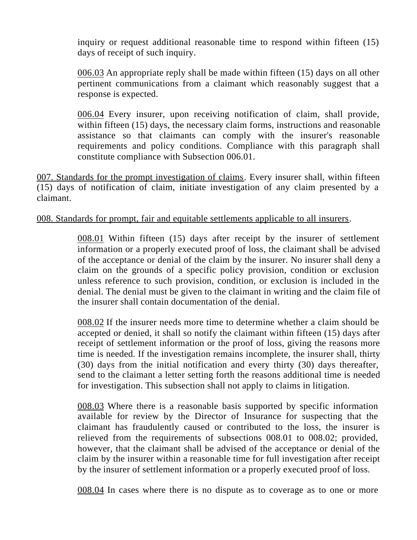inquiry or request additional reasonable time to respond within fifteen (15) days of receipt of such inquiry.

006.03 An appropriate reply shall be made within fifteen (15) days on all other pertinent communications from a claimant which reasonably suggest that a response is expected.

006.04 Every insurer, upon receiving notification of claim, shall provide, within fifteen (15) days, the necessary claim forms, instructions and reasonable assistance so that claimants can comply with the insurer's reasonable requirements and policy conditions. Compliance with this paragraph shall constitute compliance with Subsection 006.01.

007. Standards for the prompt investigation of claims. Every insurer shall, within fifteen (15) days of notification of claim, initiate investigation of any claim presented by a claimant.

#### 008. Standards for prompt, fair and equitable settlements applicable to all insurers.

008.01 Within fifteen (15) days after receipt by the insurer of settlement information or a properly executed proof of loss, the claimant shall be advised of the acceptance or denial of the claim by the insurer. No insurer shall deny a claim on the grounds of a specific policy provision, condition or exclusion unless reference to such provision, condition, or exclusion is included in the denial. The denial must be given to the claimant in writing and the claim file of the insurer shall contain documentation of the denial.

008.02 If the insurer needs more time to determine whether a claim should be accepted or denied, it shall so notify the claimant within fifteen (15) days after receipt of settlement information or the proof of loss, giving the reasons more time is needed. If the investigation remains incomplete, the insurer shall, thirty (30) days from the initial notification and every thirty (30) days thereafter, send to the claimant a letter setting forth the reasons additional time is needed for investigation. This subsection shall not apply to claims in litigation.

008.03 Where there is a reasonable basis supported by specific information available for review by the Director of Insurance for suspecting that the claimant has fraudulently caused or contributed to the loss, the insurer is relieved from the requirements of subsections 008.01 to 008.02; provided, however, that the claimant shall be advised of the acceptance or denial of the claim by the insurer within a reasonable time for full investigation after receipt by the insurer of settlement information or a properly executed proof of loss.

008.04 In cases where there is no dispute as to coverage as to one or more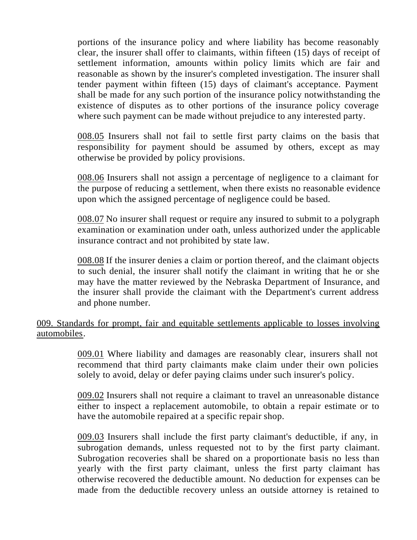portions of the insurance policy and where liability has become reasonably clear, the insurer shall offer to claimants, within fifteen (15) days of receipt of settlement information, amounts within policy limits which are fair and reasonable as shown by the insurer's completed investigation. The insurer shall tender payment within fifteen (15) days of claimant's acceptance. Payment shall be made for any such portion of the insurance policy notwithstanding the existence of disputes as to other portions of the insurance policy coverage where such payment can be made without prejudice to any interested party.

008.05 Insurers shall not fail to settle first party claims on the basis that responsibility for payment should be assumed by others, except as may otherwise be provided by policy provisions.

008.06 Insurers shall not assign a percentage of negligence to a claimant for the purpose of reducing a settlement, when there exists no reasonable evidence upon which the assigned percentage of negligence could be based.

008.07 No insurer shall request or require any insured to submit to a polygraph examination or examination under oath, unless authorized under the applicable insurance contract and not prohibited by state law.

008.08 If the insurer denies a claim or portion thereof, and the claimant objects to such denial, the insurer shall notify the claimant in writing that he or she may have the matter reviewed by the Nebraska Department of Insurance, and the insurer shall provide the claimant with the Department's current address and phone number.

# 009. Standards for prompt, fair and equitable settlements applicable to losses involving automobiles.

009.01 Where liability and damages are reasonably clear, insurers shall not recommend that third party claimants make claim under their own policies solely to avoid, delay or defer paying claims under such insurer's policy.

009.02 Insurers shall not require a claimant to travel an unreasonable distance either to inspect a replacement automobile, to obtain a repair estimate or to have the automobile repaired at a specific repair shop.

009.03 Insurers shall include the first party claimant's deductible, if any, in subrogation demands, unless requested not to by the first party claimant. Subrogation recoveries shall be shared on a proportionate basis no less than yearly with the first party claimant, unless the first party claimant has otherwise recovered the deductible amount. No deduction for expenses can be made from the deductible recovery unless an outside attorney is retained to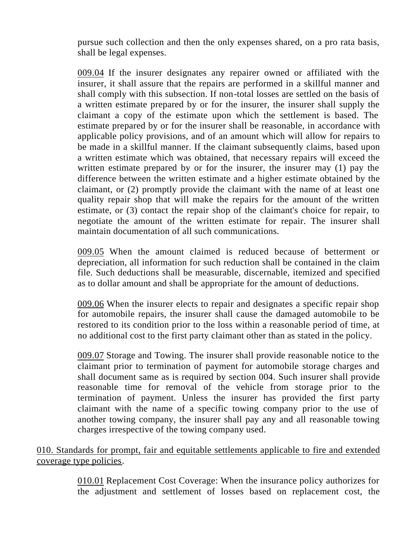pursue such collection and then the only expenses shared, on a pro rata basis, shall be legal expenses.

009.04 If the insurer designates any repairer owned or affiliated with the insurer, it shall assure that the repairs are performed in a skillful manner and shall comply with this subsection. If non-total losses are settled on the basis of a written estimate prepared by or for the insurer, the insurer shall supply the claimant a copy of the estimate upon which the settlement is based. The estimate prepared by or for the insurer shall be reasonable, in accordance with applicable policy provisions, and of an amount which will allow for repairs to be made in a skillful manner. If the claimant subsequently claims, based upon a written estimate which was obtained, that necessary repairs will exceed the written estimate prepared by or for the insurer, the insurer may (1) pay the difference between the written estimate and a higher estimate obtained by the claimant, or (2) promptly provide the claimant with the name of at least one quality repair shop that will make the repairs for the amount of the written estimate, or (3) contact the repair shop of the claimant's choice for repair, to negotiate the amount of the written estimate for repair. The insurer shall maintain documentation of all such communications.

009.05 When the amount claimed is reduced because of betterment or depreciation, all information for such reduction shall be contained in the claim file. Such deductions shall be measurable, discernable, itemized and specified as to dollar amount and shall be appropriate for the amount of deductions.

009.06 When the insurer elects to repair and designates a specific repair shop for automobile repairs, the insurer shall cause the damaged automobile to be restored to its condition prior to the loss within a reasonable period of time, at no additional cost to the first party claimant other than as stated in the policy.

009.07 Storage and Towing. The insurer shall provide reasonable notice to the claimant prior to termination of payment for automobile storage charges and shall document same as is required by section 004. Such insurer shall provide reasonable time for removal of the vehicle from storage prior to the termination of payment. Unless the insurer has provided the first party claimant with the name of a specific towing company prior to the use of another towing company, the insurer shall pay any and all reasonable towing charges irrespective of the towing company used.

010. Standards for prompt, fair and equitable settlements applicable to fire and extended coverage type policies.

> 010.01 Replacement Cost Coverage: When the insurance policy authorizes for the adjustment and settlement of losses based on replacement cost, the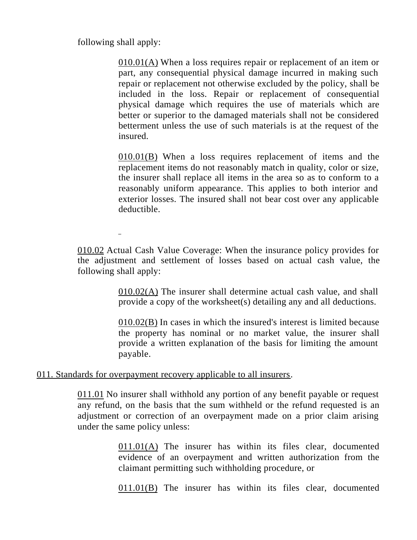following shall apply:

 $\overline{a}$ 

010.01(A) When a loss requires repair or replacement of an item or part, any consequential physical damage incurred in making such repair or replacement not otherwise excluded by the policy, shall be included in the loss. Repair or replacement of consequential physical damage which requires the use of materials which are better or superior to the damaged materials shall not be considered betterment unless the use of such materials is at the request of the insured.

010.01(B) When a loss requires replacement of items and the replacement items do not reasonably match in quality, color or size, the insurer shall replace all items in the area so as to conform to a reasonably uniform appearance. This applies to both interior and exterior losses. The insured shall not bear cost over any applicable deductible.

010.02 Actual Cash Value Coverage: When the insurance policy provides for the adjustment and settlement of losses based on actual cash value, the following shall apply:

> 010.02(A) The insurer shall determine actual cash value, and shall provide a copy of the worksheet(s) detailing any and all deductions.

> 010.02(B) In cases in which the insured's interest is limited because the property has nominal or no market value, the insurer shall provide a written explanation of the basis for limiting the amount payable.

#### 011. Standards for overpayment recovery applicable to all insurers.

011.01 No insurer shall withhold any portion of any benefit payable or request any refund, on the basis that the sum withheld or the refund requested is an adjustment or correction of an overpayment made on a prior claim arising under the same policy unless:

> 011.01(A) The insurer has within its files clear, documented evidence of an overpayment and written authorization from the claimant permitting such withholding procedure, or

> 011.01(B) The insurer has within its files clear, documented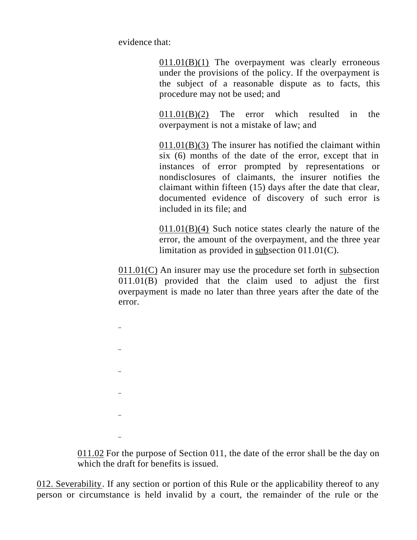evidence that:

 $011.01(B)(1)$  The overpayment was clearly erroneous under the provisions of the policy. If the overpayment is the subject of a reasonable dispute as to facts, this procedure may not be used; and

011.01(B)(2) The error which resulted in the overpayment is not a mistake of law; and

011.01(B)(3) The insurer has notified the claimant within six (6) months of the date of the error, except that in instances of error prompted by representations or nondisclosures of claimants, the insurer notifies the claimant within fifteen (15) days after the date that clear, documented evidence of discovery of such error is included in its file; and

011.01(B)(4) Such notice states clearly the nature of the error, the amount of the overpayment, and the three year limitation as provided in subsection 011.01(C).

011.01(C) An insurer may use the procedure set forth in subsection 011.01(B) provided that the claim used to adjust the first overpayment is made no later than three years after the date of the error.

011.02 For the purpose of Section 011, the date of the error shall be the day on which the draft for benefits is issued.

012. Severability. If any section or portion of this Rule or the applicability thereof to any person or circumstance is held invalid by a court, the remainder of the rule or the